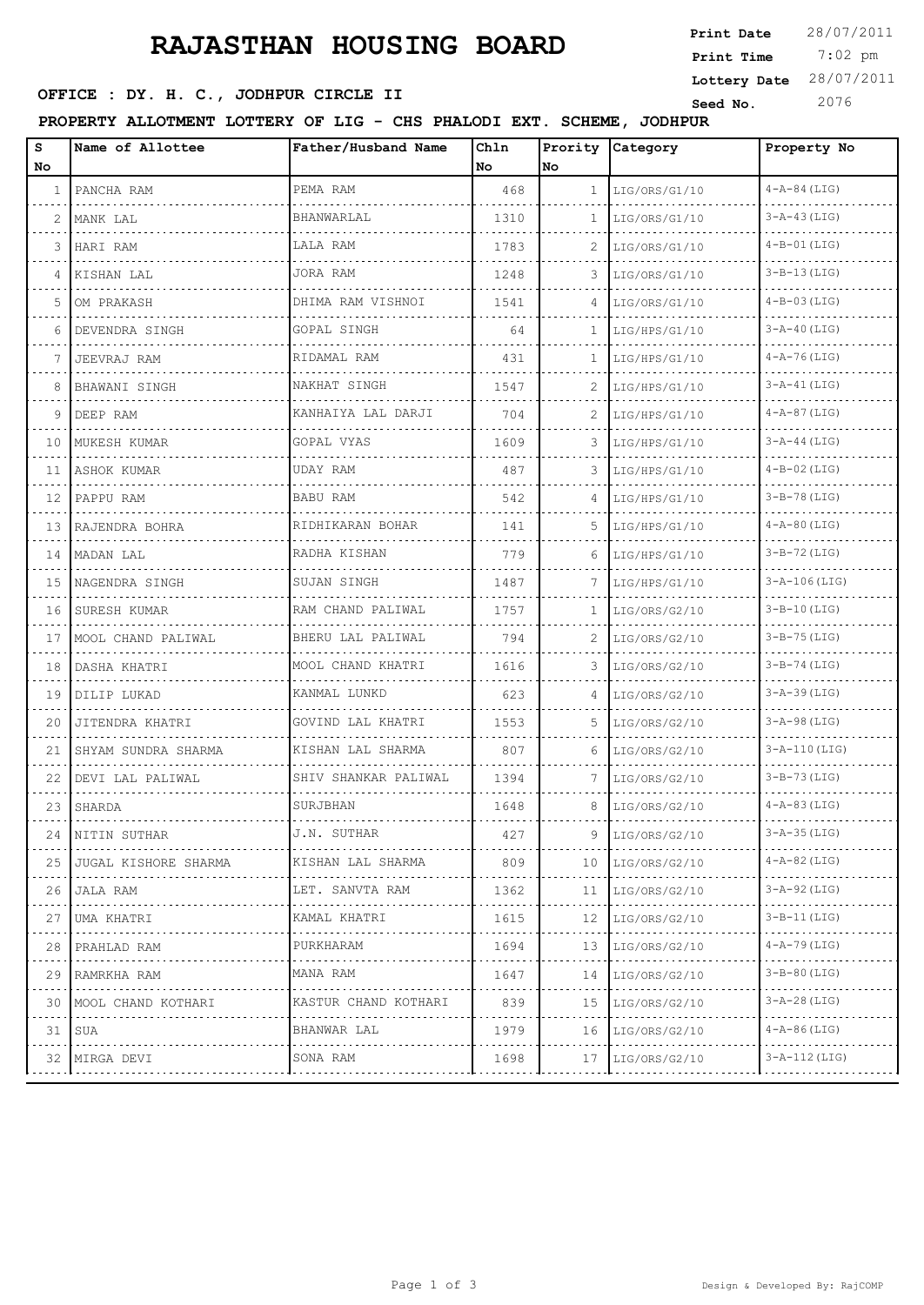### **RAJASTHAN HOUSING BOARD**

#### **Seed No.** 2076 **OFFICE : DY. H. C., JODHPUR CIRCLE II**

**PROPERTY ALLOTMENT LOTTERY OF LIG - CHS PHALODI EXT. SCHEME, JODHPUR** Seed No. 2076<br>PROPERTY ALLOTMENT LOTTERY OF LIG - CHS PHALODI EXT. SCHEME, JODHPUR

| s<br>No.     | Name of Allottee         | Father/Husband Name    | Chln<br>No | No.          | Prority Category | Property No         |
|--------------|--------------------------|------------------------|------------|--------------|------------------|---------------------|
| $\mathbf{1}$ | PANCHA RAM               | PEMA RAM               | 468        | $\mathbf{1}$ | LIG/ORS/G1/10    | $4 - A - 84$ (LIG)  |
| 2            | MANK LAL                 | BHANWARLAL             | 1310       | 1            | LIG/ORS/G1/10    | $3 - A - 43$ (LIG)  |
| 3            | HARI RAM                 | LALA RAM               | 1783       | 2            | LIG/ORS/G1/10    | $4-B-01$ (LIG)      |
| 4            | KISHAN LAL               | JORA RAM               | 1248       | 3            | LIG/ORS/G1/10    | $3 - B - 13$ (LIG)  |
| 5            | OM PRAKASH               | DHIMA RAM VISHNOI      | 1541       | 4            | LIG/ORS/G1/10    | $4 - B - 03$ (LIG)  |
| 6            | DEVENDRA SINGH           | GOPAL SINGH            | 64         | 1            | LIG/HPS/G1/10    | $3 - A - 40$ (LIG)  |
| 7            | JEEVRAJ RAM              | RIDAMAL RAM            | 431        | 1            | LIG/HPS/G1/10    | $4 - A - 76$ (LIG)  |
| 8            | BHAWANI SINGH            | NAKHAT SINGH           | 1547       | 2            | LIG/HPS/G1/10    | $3 - A - 41$ (LIG)  |
| 9            | DEEP RAM                 | KANHAIYA LAL DARJI     | 704        | 2            | LIG/HPS/G1/10    | $4 - A - 87$ (LIG)  |
| 10           | MUKESH KUMAR             | GOPAL VYAS             | 1609       | 3            | LIG/HPS/G1/10    | $3 - A - 44$ (LIG)  |
|              | 11   ASHOK KUMAR         | UDAY RAM               | 487        | 3            | LIG/HPS/G1/10    | $4 - B - 02$ (LIG)  |
| 12           | PAPPU RAM                | <b>BABU RAM</b>        | 542        | 4            | LIG/HPS/G1/10    | $3 - B - 78$ (LIG)  |
|              | 13 RAJENDRA BOHRA        | RIDHIKARAN BOHAR       | 141        | 5.           | LIG/HPS/G1/10    | $4 - A - 80$ (LIG)  |
|              | 14   MADAN LAL           | RADHA KISHAN           | 779        | 6            | LIG/HPS/G1/10    | $3 - B - 72$ (LIG)  |
|              | 15   NAGENDRA SINGH      | SUJAN SINGH            | 1487       | 7            | LIG/HPS/G1/10    | $3 - A - 106$ (LIG) |
| 16           | SURESH KUMAR<br><u>.</u> | RAM CHAND PALIWAL      | 1757       | 1.           | LIG/ORS/G2/10    | $3 - B - 10$ (LIG)  |
|              | 17   MOOL CHAND PALIWAL  | BHERU LAL PALIWAL<br>. | 794        | 2            | LIG/ORS/G2/10    | $3 - B - 75$ (LIG)  |
| 18           | DASHA KHATRI             | MOOL CHAND KHATRI      | 1616       | 3            | LIG/ORS/G2/10    | $3 - B - 74$ (LIG)  |
| 19           | DILIP LUKAD              | KANMAL LUNKD           | 623        |              | LIG/ORS/G2/10    | $3 - A - 39$ (LIG)  |
| 20           | JITENDRA KHATRI          | GOVIND LAL KHATRI      | 1553       | 5.           | LIG/ORS/G2/10    | $3 - A - 98$ (LIG)  |
| 21           | SHYAM SUNDRA SHARMA      | KISHAN LAL SHARMA      | 807        | 6            | LIG/ORS/G2/10    | $3 - A - 110$ (LIG) |
| 22           | DEVI LAL PALIWAL         | SHIV SHANKAR PALIWAL   | 1394       | 7            | LIG/ORS/G2/10    | $3 - B - 73$ (LIG)  |
| 23           | SHARDA                   | SURJBHAN               | 1648       | 8            | LIG/ORS/G2/10    | $4 - A - 83$ (LIG)  |
| 24           | NITIN SUTHAR             | J.N. SUTHAR            | 427        | 9            | LIG/ORS/G2/10    | $3 - A - 35$ (LIG)  |
| 25           | JUGAL KISHORE SHARMA     | KISHAN LAL SHARMA<br>. | 809        | 10           | LIG/ORS/G2/10    | $4 - A - 82$ (LIG)  |
| 26           | JALA RAM                 | LET. SANVTA RAM        | 1362       | 11           | LIG/ORS/G2/10    | $3 - A - 92$ (LIG)  |
| 27           | UMA KHATRI               | KAMAL KHATRI<br>.      | 1615       | 12           | LIG/ORS/G2/10    | $3 - B - 11$ (LIG)  |
| 28           | PRAHLAD RAM              | PURKHARAM              | 1694       | 13           | LIG/ORS/G2/10    | $4 - A - 79$ (LIG)  |
| 29           | RAMRKHA RAM              | MANA RAM               | 1647       | 14           | LIG/ORS/G2/10    | $3 - B - 80$ (LIG)  |
|              | 30   MOOL CHAND KOTHARI  | KASTUR CHAND KOTHARI   | 839        | 15           | LIG/ORS/G2/10    | $3 - A - 28$ (LIG)  |
|              | 31 SUA                   | BHANWAR LAL            | 1979       | 16           | LIG/ORS/G2/10    | $4 - A - 86$ (LIG)  |
|              | 32 MIRGA DEVI            | SONA RAM<br>.          | 1698       | 17           | LIG/ORS/G2/10    | $3 - A - 112$ (LIG) |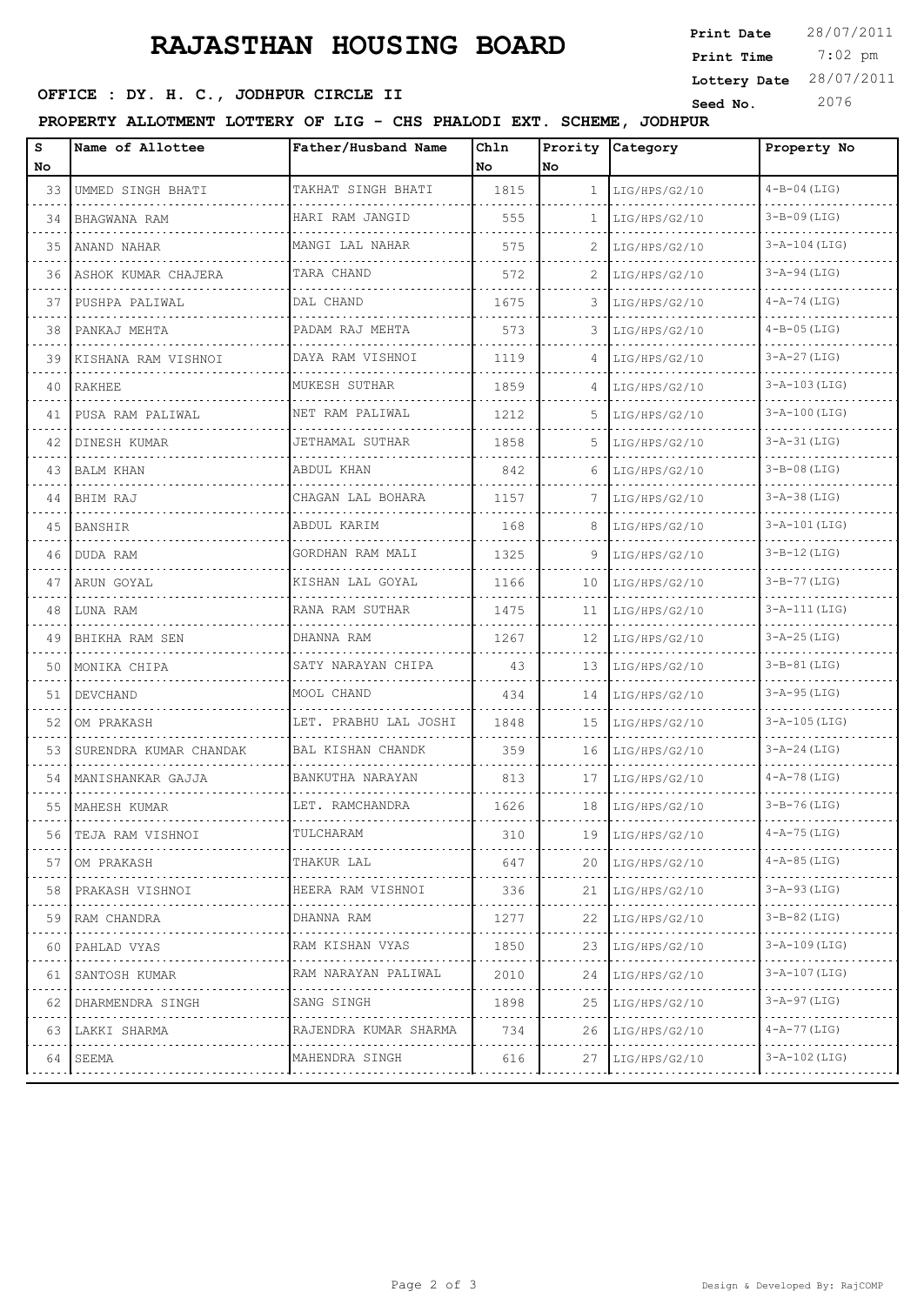### **RAJASTHAN HOUSING BOARD**

## **OFFICE : DY. H. C., JODHPUR CIRCLE II** Seed No. 2076

**PROPERTY ALLOTMENT LOTTERY OF LIG - CHS PHALODI EXT. SCHEME, JODHPUR**

| s<br>No | Name of Allottee         | Father/Husband Name             | Chln<br>No. | Prority<br>No. | Category      | Property No         |
|---------|--------------------------|---------------------------------|-------------|----------------|---------------|---------------------|
| 33      | UMMED SINGH BHATI        | TAKHAT SINGH BHATI              | 1815        | $\mathbf{1}$   | LIG/HPS/G2/10 | $4 - B - 04$ (LIG)  |
| 34      | BHAGWANA RAM             | HARI RAM JANGID                 | 555         | $\mathbf{1}$   | LIG/HPS/G2/10 | $3 - B - 09$ (LIG)  |
| 35      | ANAND NAHAR              | MANGI LAL NAHAR                 | 575         | 2              | LIG/HPS/G2/10 | $3 - A - 104$ (LIG) |
| 36      | ASHOK KUMAR CHAJERA      | TARA CHAND                      | 572         | 2              | LIG/HPS/G2/10 | $3-A-94$ (LIG)      |
| 37      | PUSHPA PALIWAL           | DAL CHAND                       | 1675        | 3              | LIG/HPS/G2/10 | $4 - A - 74$ (LIG)  |
| 38      | PANKAJ MEHTA             | PADAM RAJ MEHTA                 | 573         | 3              | LIG/HPS/G2/10 | $4 - B - 05$ (LIG)  |
| 39      | .<br>KISHANA RAM VISHNOI | DAYA RAM VISHNOI                | 1119        | 4              | LIG/HPS/G2/10 | $3 - A - 27$ (LIG)  |
| 40      | RAKHEE                   | MUKESH SUTHAR                   | 1859        | 4              | LIG/HPS/G2/10 | $3 - A - 103$ (LIG) |
| 41      | PUSA RAM PALIWAL         | NET RAM PALIWAL                 | 1212        | 5              | LIG/HPS/G2/10 | $3 - A - 100$ (LIG) |
| 42      | DINESH KUMAR             | .<br>JETHAMAL SUTHAR            | 1858        | 5              | LIG/HPS/G2/10 | $3 - A - 31$ (LIG)  |
| 43      | <b>BALM KHAN</b>         | ABDUL KHAN                      | 842         | 6              | LIG/HPS/G2/10 | $3 - B - 08$ (LIG)  |
| 44      | BHIM RAJ                 | CHAGAN LAL BOHARA               | 1157        | 7              | LIG/HPS/G2/10 | $3 - A - 38$ (LIG)  |
| 45      | <b>BANSHIR</b>           | ABDUL KARIM                     | 168         | 8              | LIG/HPS/G2/10 | $3 - A - 101$ (LIG) |
| 46      | DUDA RAM                 | GORDHAN RAM MALI                | 1325        | 9              | LIG/HPS/G2/10 | $3 - B - 12$ (LIG)  |
| 47      | ARUN GOYAL               | KISHAN LAL GOYAL                | 1166        | 10             | LIG/HPS/G2/10 | $3 - B - 77$ (LIG)  |
| 48      | LUNA RAM                 | RANA RAM SUTHAR                 | 1475        | 11             | LIG/HPS/G2/10 | $3 - A - 111$ (LIG) |
| 49      | BHIKHA RAM SEN           | DHANNA RAM                      | 1267        | 12             | LIG/HPS/G2/10 | $3 - A - 25$ (LIG)  |
| 50      | MONIKA CHIPA             | SATY NARAYAN CHIPA              | 43          | 13             | LIG/HPS/G2/10 | $3-B-81$ (LIG)      |
| 51      | DEVCHAND                 | MOOL CHAND                      | 434         | 14             | LIG/HPS/G2/10 | $3 - A - 95$ (LIG)  |
| 52      | OM PRAKASH               | LET. PRABHU LAL JOSHI           | 1848        | 15             | LIG/HPS/G2/10 | $3 - A - 105$ (LIG) |
| 53      | SURENDRA KUMAR CHANDAK   | BAL KISHAN CHANDK               | 359         | 16             | LIG/HPS/G2/10 | $3 - A - 24$ (LIG)  |
| 54      | MANISHANKAR GAJJA        | BANKUTHA NARAYAN                | 813         | 17             | LIG/HPS/G2/10 | $4 - A - 78$ (LIG)  |
|         | 55   MAHESH KUMAR        | LET. RAMCHANDRA                 | 1626        | 18             | LIG/HPS/G2/10 | $3 - B - 76$ (LIG)  |
| 56      | TEJA RAM VISHNOI         | TULCHARAM                       | 310         | 19             | LIG/HPS/G2/10 | $4 - A - 75$ (LIG)  |
| 57      | OM PRAKASH               | THAKUR LAL                      | 647         | 20             | LIG/HPS/G2/10 | $4 - A - 85$ (LIG)  |
| 58      | PRAKASH VISHNOI          | .<br>HEERA RAM VISHNOI          | 336         | 21             | LIG/HPS/G2/10 | $3 - A - 93$ (LIG)  |
| 59      | RAM CHANDRA              | DHANNA RAM                      | 1277        | 22             | LIG/HPS/G2/10 | $3 - B - 82$ (LIG)  |
| 60      | .<br>PAHLAD VYAS         | .<br>RAM KISHAN VYAS            | 1850        | 23             | LIG/HPS/G2/10 | 3-A-109 (LIG)       |
| 61      | SANTOSH KUMAR<br>.       | RAM NARAYAN PALIWAL<br><u>.</u> | 2010        | 24             | LIG/HPS/G2/10 | $3 - A - 107$ (LIG) |
| 62      | DHARMENDRA SINGH         | SANG SINGH                      | 1898        | 25             | LIG/HPS/G2/10 | 3-A-97 (LIG)        |
| 63      | LAKKI SHARMA             | RAJENDRA KUMAR SHARMA           | 734         | 26             | LIG/HPS/G2/10 | 4-A-77 (LIG)        |
| 64.     | SEEMA                    | MAHENDRA SINGH                  | 616         | 27             | LIG/HPS/G2/10 | $3 - A - 102$ (LIG) |